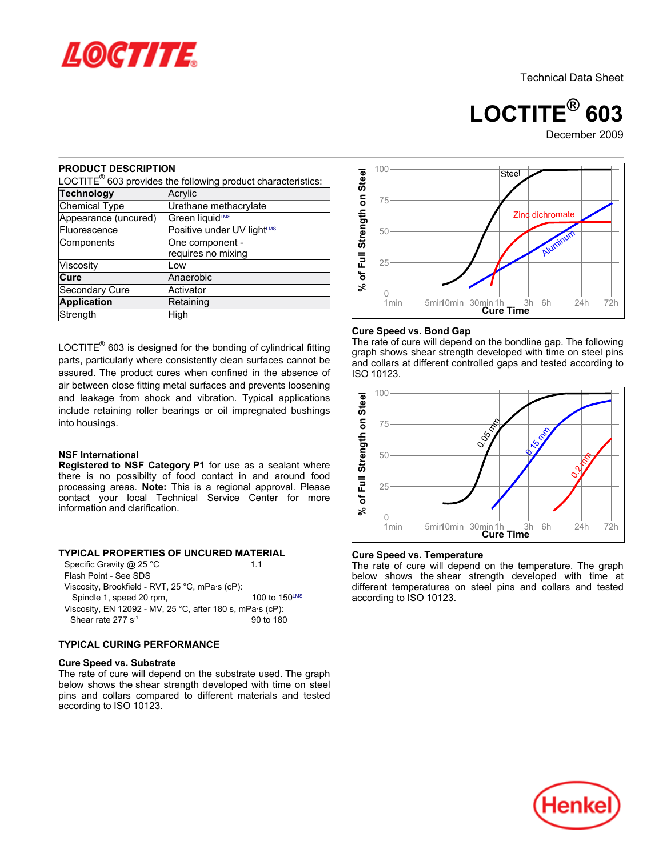

**LOCTITE® 603**

# December 2009

### **PRODUCT DESCRIPTION**

|                                                                                                                                                                    | LOCTITE <sup>®</sup> 603 provides the following product characteristics:                                                                                                                                                                                                                                                                                                                                                                                                                                                                                                           | % of Full Strength on Steel                             |  |  |
|--------------------------------------------------------------------------------------------------------------------------------------------------------------------|------------------------------------------------------------------------------------------------------------------------------------------------------------------------------------------------------------------------------------------------------------------------------------------------------------------------------------------------------------------------------------------------------------------------------------------------------------------------------------------------------------------------------------------------------------------------------------|---------------------------------------------------------|--|--|
| <b>Technology</b><br>Acrylic                                                                                                                                       |                                                                                                                                                                                                                                                                                                                                                                                                                                                                                                                                                                                    |                                                         |  |  |
| <b>Chemical Type</b>                                                                                                                                               | Urethane methacrylate                                                                                                                                                                                                                                                                                                                                                                                                                                                                                                                                                              |                                                         |  |  |
| Appearance (uncured)                                                                                                                                               | Green liquidLMS                                                                                                                                                                                                                                                                                                                                                                                                                                                                                                                                                                    |                                                         |  |  |
| Fluorescence                                                                                                                                                       | Positive under UV lightLMS                                                                                                                                                                                                                                                                                                                                                                                                                                                                                                                                                         |                                                         |  |  |
| One component -<br>Components                                                                                                                                      |                                                                                                                                                                                                                                                                                                                                                                                                                                                                                                                                                                                    |                                                         |  |  |
|                                                                                                                                                                    | requires no mixing                                                                                                                                                                                                                                                                                                                                                                                                                                                                                                                                                                 |                                                         |  |  |
| Viscosity                                                                                                                                                          | Low                                                                                                                                                                                                                                                                                                                                                                                                                                                                                                                                                                                |                                                         |  |  |
| Cure                                                                                                                                                               | Anaerobic                                                                                                                                                                                                                                                                                                                                                                                                                                                                                                                                                                          |                                                         |  |  |
| Secondary Cure                                                                                                                                                     | Activator                                                                                                                                                                                                                                                                                                                                                                                                                                                                                                                                                                          |                                                         |  |  |
| <b>Application</b>                                                                                                                                                 | Retaining                                                                                                                                                                                                                                                                                                                                                                                                                                                                                                                                                                          |                                                         |  |  |
| Strength                                                                                                                                                           | High                                                                                                                                                                                                                                                                                                                                                                                                                                                                                                                                                                               |                                                         |  |  |
| into housings.<br><b>NSF International</b><br>information and clarification.                                                                                       | parts, particularly where consistently clean surfaces cannot be<br>assured. The product cures when confined in the absence of<br>air between close fitting metal surfaces and prevents loosening<br>and leakage from shock and vibration. Typical applications<br>include retaining roller bearings or oil impregnated bushings<br>Registered to NSF Category P1 for use as a sealant where<br>there is no possibilty of food contact in and around food<br>processing areas. Note: This is a regional approval. Please<br>contact your local Technical Service Center for<br>more | gra<br>and<br><b>ISO</b><br>% of Full Strength on Steel |  |  |
| Specific Gravity @ 25 °C<br>Flash Point - See SDS<br>Viscosity, Brookfield - RVT, 25 °C, mPa·s (cP):<br>Spindle 1, speed 20 rpm,<br>Shear rate 277 s <sup>-1</sup> | TYPICAL PROPERTIES OF UNCURED MATERIAL<br>1.1<br>100 to 150LMS<br>Viscosity, EN 12092 - MV, 25 °C, after 180 s, mPa·s (cP):<br>90 to 180                                                                                                                                                                                                                                                                                                                                                                                                                                           | Cur<br>The<br>belo<br>diffe<br>acc                      |  |  |
| <b>TYPICAL CURING PERFORMANCE</b>                                                                                                                                  |                                                                                                                                                                                                                                                                                                                                                                                                                                                                                                                                                                                    |                                                         |  |  |
| <b>Cure Speed vs. Substrate</b><br>according to ISO 10123.                                                                                                         | The rate of cure will depend on the substrate used. The graph<br>below shows the shear strength developed with time on steel<br>pins and collars compared to different materials and tested                                                                                                                                                                                                                                                                                                                                                                                        |                                                         |  |  |

#### **NSF International**

#### **TYPICAL PROPERTIES OF UNCURED MATERIAL**

| Specific Gravity @ 25 °C                                  | 11                   |  |  |
|-----------------------------------------------------------|----------------------|--|--|
| Flash Point - See SDS                                     |                      |  |  |
| Viscosity, Brookfield - RVT, 25 °C, mPa·s (cP):           |                      |  |  |
| Spindle 1, speed 20 rpm,                                  | 100 to 150LMS        |  |  |
| Viscosity, EN 12092 - MV, 25 °C, after 180 s, mPa·s (cP): |                      |  |  |
| Shear rate 277 $s^{-1}$                                   | $90 \text{ to } 180$ |  |  |

### **TYPICAL CURING PERFORMANCE**

#### **Cure Speed vs. Substrate**



#### **Cure Speed vs. Bond Gap**

The rate of cure will depend on the bondline gap. The following graph shows shear strength developed with time on steel pins and collars at different controlled gaps and tested according to ISO 10123.



#### **Cure Speed vs. Temperature**

The rate of cure will depend on the temperature. The graph below shows the shear strength developed with time at different temperatures on steel pins and collars and tested according to ISO 10123.

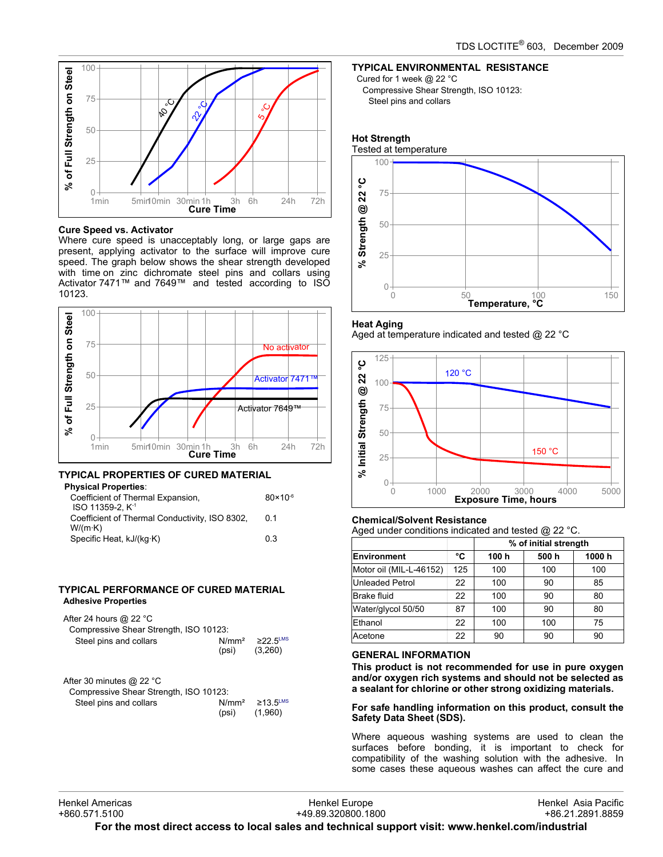

### **Cure Speed vs. Activator**

Where cure speed is unacceptably long, or large gaps are present, applying activator to the surface will improve cure speed. The graph below shows the shear strength developed with time on zinc dichromate steel pins and collars using Activator 7471™ and 7649™ and tested according to ISO 10123.



# **TYPICAL PROPERTIES OF CURED MATERIAL**

| $80 \times 10^{-6}$ |
|---------------------|
|                     |
| 0 <sub>1</sub>      |
|                     |
| 03                  |
|                     |

### **TYPICAL PERFORMANCE OF CURED MATERIAL Adhesive Properties**

| After 24 hours $@$ 22 °C<br>Compressive Shear Strength, ISO 10123: |       |                                                         |
|--------------------------------------------------------------------|-------|---------------------------------------------------------|
| Steel pins and collars                                             | (psi) | N/mm <sup>2</sup> $\geq$ 22 5 <sup>LMS</sup><br>(3,260) |

| After 30 minutes $@$ 22 °C             |                   |                            |  |
|----------------------------------------|-------------------|----------------------------|--|
| Compressive Shear Strength, ISO 10123: |                   |                            |  |
| Steel pins and collars                 | N/mm <sup>2</sup> | $\geq$ 13.5 <sup>LMS</sup> |  |
|                                        | (psi)             | (1.960)                    |  |

# **TYPICAL ENVIRONMENTAL RESISTANCE**

Cured for 1 week @ 22 °C Compressive Shear Strength, ISO 10123: Steel pins and collars

# **Hot Strength**





### **Heat Aging**

Aged at temperature indicated and tested @ 22 °C



### **Chemical/Solvent Resistance** Aged under conditions indicated and tested @ 22 °C.

|     | % of initial strength |      |       |
|-----|-----------------------|------|-------|
| °C  | 100 h                 | 500h | 1000h |
| 125 | 100                   | 100  | 100   |
| 22  | 100                   | 90   | 85    |
| 22  | 100                   | 90   | 80    |
| 87  | 100                   | 90   | 80    |
| 22  | 100                   | 100  | 75    |
| 22  | 90                    | 90   | 90    |
|     |                       |      |       |

### **GENERAL INFORMATION**

**This product is not recommended for use in pure oxygen and/or oxygen rich systems and should not be selected as a sealant for chlorine or other strong oxidizing materials.**

### **For safe handling information on this product, consult the Safety Data Sheet (SDS).**

Where aqueous washing systems are used to clean the surfaces before bonding, it is important to check for compatibility of the washing solution with the adhesive. In some cases these aqueous washes can affect the cure and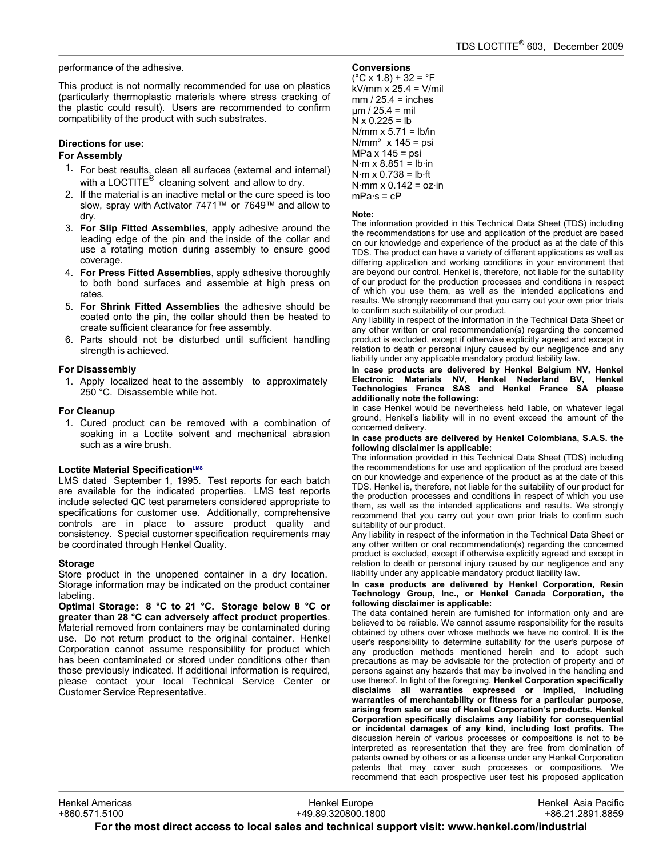performance of the adhesive.

This product is not normally recommended for use on plastics (particularly thermoplastic materials where stress cracking of the plastic could result). Users are recommended to confirm compatibility of the product with such substrates.

### **Directions for use:**

### **For Assembly**

- 1. For best results, clean all surfaces (external and internal) with a LOCTITE $^{\circledR}$  cleaning solvent and allow to dry.
- 2. If the material is an inactive metal or the cure speed is too slow, spray with Activator 7471™ or 7649™ and allow to dry.
- 3. **For Slip Fitted Assemblies**, apply adhesive around the leading edge of the pin and the inside of the collar and use a rotating motion during assembly to ensure good coverage.
- 4. **For Press Fitted Assemblies**, apply adhesive thoroughly to both bond surfaces and assemble at high press on rates.
- 5. **For Shrink Fitted Assemblies** the adhesive should be coated onto the pin, the collar should then be heated to create sufficient clearance for free assembly.
- 6. Parts should not be disturbed until sufficient handling strength is achieved.

### **For Disassembly**

1. Apply localized heat to the assembly to approximately 250 °C. Disassemble while hot.

### **For Cleanup**

1. Cured product can be removed with a combination of soaking in a Loctite solvent and mechanical abrasion such as a wire brush.

### **Loctite Material SpecificationLMS**

LMS dated September 1, 1995. Test reports for each batch are available for the indicated properties. LMS test reports include selected QC test parameters considered appropriate to specifications for customer use. Additionally, comprehensive controls are in place to assure product quality and consistency. Special customer specification requirements may be coordinated through Henkel Quality.

### **Storage**

Store product in the unopened container in a dry location. Storage information may be indicated on the product container labeling.

**Optimal Storage: 8 °C to 21 °C. Storage below 8 °C or greater than 28 °C can adversely affect product properties**. Material removed from containers may be contaminated during use. Do not return product to the original container. Henkel Corporation cannot assume responsibility for product which has been contaminated or stored under conditions other than those previously indicated. If additional information is required, please contact your local Technical Service Center or Customer Service Representative.

### **Conversions**

 $(^{\circ}C$  x 1.8) + 32 =  $^{\circ}F$ kV/mm x 25.4 = V/mil  $mm / 25.4 = inches$  $um / 25.4 = mil$  $N \times 0.225 = lb$ N/mm  $x$  5.71 = lb/in  $N/mm<sup>2</sup>$  x 145 = psi MPa x 145 = psi  $N·m \times 8.851 = lb·in$  $N·m \times 0.738 = lb·ft$ N·mm  $x$  0.142 =  $oz \cdot in$  $mPa·s = cP$ 

#### **Note:**

The information provided in this Technical Data Sheet (TDS) including the recommendations for use and application of the product are based on our knowledge and experience of the product as at the date of this TDS. The product can have a variety of different applications as well as differing application and working conditions in your environment that are beyond our control. Henkel is, therefore, not liable for the suitability of our product for the production processes and conditions in respect of which you use them, as well as the intended applications and results. We strongly recommend that you carry out your own prior trials to confirm such suitability of our product.

Any liability in respect of the information in the Technical Data Sheet or any other written or oral recommendation(s) regarding the concerned product is excluded, except if otherwise explicitly agreed and except in relation to death or personal injury caused by our negligence and any liability under any applicable mandatory product liability law.

**In case products are delivered by Henkel Belgium NV, Henkel Electronic Materials NV, Henkel Nederland BV, Henkel Technologies France SAS and Henkel France SA please additionally note the following:** 

In case Henkel would be nevertheless held liable, on whatever legal ground, Henkel's liability will in no event exceed the amount of the concerned delivery.

#### **In case products are delivered by Henkel Colombiana, S.A.S. the following disclaimer is applicable:**

The information provided in this Technical Data Sheet (TDS) including the recommendations for use and application of the product are based on our knowledge and experience of the product as at the date of this TDS. Henkel is, therefore, not liable for the suitability of our product for the production processes and conditions in respect of which you use them, as well as the intended applications and results. We strongly recommend that you carry out your own prior trials to confirm such suitability of our product.

Any liability in respect of the information in the Technical Data Sheet or any other written or oral recommendation(s) regarding the concerned product is excluded, except if otherwise explicitly agreed and except in relation to death or personal injury caused by our negligence and any liability under any applicable mandatory product liability law.

**In case products are delivered by Henkel Corporation, Resin Technology Group, Inc., or Henkel Canada Corporation, the following disclaimer is applicable:**

The data contained herein are furnished for information only and are believed to be reliable. We cannot assume responsibility for the results obtained by others over whose methods we have no control. It is the user's responsibility to determine suitability for the user's purpose of any production methods mentioned herein and to adopt such precautions as may be advisable for the protection of property and of persons against any hazards that may be involved in the handling and use thereof. In light of the foregoing, **Henkel Corporation specifically disclaims all warranties expressed or implied, including warranties of merchantability or fitness for a particular purpose, arising from sale or use of Henkel Corporation's products. Henkel Corporation specifically disclaims any liability for consequential or incidental damages of any kind, including lost profits.** The discussion herein of various processes or compositions is not to be interpreted as representation that they are free from domination of patents owned by others or as a license under any Henkel Corporation patents that may cover such processes or compositions. We recommend that each prospective user test his proposed application